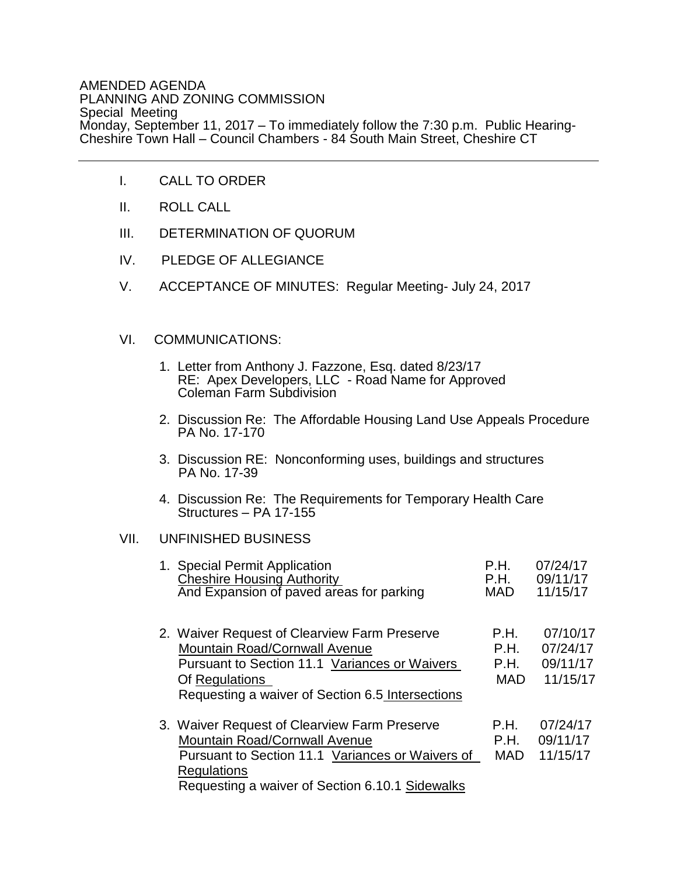## AMENDED AGENDA PLANNING AND ZONING COMMISSION Special Meeting Monday, September 11, 2017 – To immediately follow the 7:30 p.m. Public Hearing-Cheshire Town Hall – Council Chambers - 84 South Main Street, Cheshire CT

- I. CALL TO ORDER
- II. ROLL CALL
- III. DETERMINATION OF QUORUM
- IV. PLEDGE OF ALLEGIANCE
- V. ACCEPTANCE OF MINUTES: Regular Meeting- July 24, 2017

## VI. COMMUNICATIONS:

- 1. Letter from Anthony J. Fazzone, Esq. dated 8/23/17 RE: Apex Developers, LLC - Road Name for Approved Coleman Farm Subdivision
- 2. Discussion Re: The Affordable Housing Land Use Appeals Procedure PA No. 17-170
- 3. Discussion RE: Nonconforming uses, buildings and structures PA No. 17-39
- 4. Discussion Re: The Requirements for Temporary Health Care Structures – PA 17-155

## VII. UNFINISHED BUSINESS

| 1. Special Permit Application<br><b>Cheshire Housing Authority</b><br>And Expansion of paved areas for parking                                                                                                    | P.H.<br>P.H.<br><b>MAD</b>         | 07/24/17<br>09/11/17<br>11/15/17             |
|-------------------------------------------------------------------------------------------------------------------------------------------------------------------------------------------------------------------|------------------------------------|----------------------------------------------|
| 2. Waiver Request of Clearview Farm Preserve<br>Mountain Road/Cornwall Avenue<br>Pursuant to Section 11.1 Variances or Waivers<br>Of Regulations<br>Requesting a waiver of Section 6.5 Intersections              | P.H.<br>P.H.<br>P.H.<br><b>MAD</b> | 07/10/17<br>07/24/17<br>09/11/17<br>11/15/17 |
| 3. Waiver Request of Clearview Farm Preserve<br><b>Mountain Road/Cornwall Avenue</b><br>Pursuant to Section 11.1 Variances or Waivers of<br><b>Regulations</b><br>Requesting a waiver of Section 6.10.1 Sidewalks | P.H.<br>P.H.<br><b>MAD</b>         | 07/24/17<br>09/11/17<br>11/15/17             |